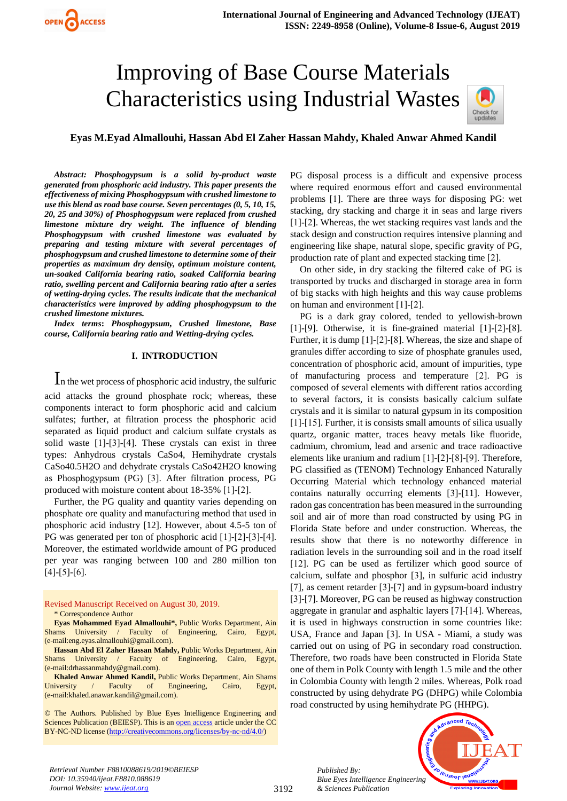

## **Eyas M.Eyad Almallouhi, Hassan Abd El Zaher Hassan Mahdy, Khaled Anwar Ahmed Kandil**

*Abstract: Phosphogypsum is a solid by-product waste generated from phosphoric acid industry. This paper presents the effectiveness of mixing Phosphogypsum with crushed limestone to use this blend as road base course. Seven percentages (0, 5, 10, 15, 20, 25 and 30%) of Phosphogypsum were replaced from crushed limestone mixture dry weight. The influence of blending Phosphogypsum with crushed limestone was evaluated by preparing and testing mixture with several percentages of phosphogypsum and crushed limestone to determine some of their properties as maximum dry density, optimum moisture content, un-soaked California bearing ratio, soaked California bearing ratio, swelling percent and California bearing ratio after a series of wetting-drying cycles. The results indicate that the mechanical characteristics were improved by adding phosphogypsum to the crushed limestone mixtures.*

*Index terms***:** *Phosphogypsum, Crushed limestone, Base course, California bearing ratio and Wetting-drying cycles.*

## **I. INTRODUCTION**

I<sup>n</sup> the wet process of phosphoric acid industry, the sulfuric acid attacks the ground phosphate rock; whereas, these components interact to form phosphoric acid and calcium sulfates; further, at filtration process the phosphoric acid separated as liquid product and calcium sulfate crystals as solid waste [1]-[3]-[4]. These crystals can exist in three types: Anhydrous crystals CaSo4, Hemihydrate crystals CaSo40.5H2O and dehydrate crystals CaSo42H2O knowing as Phosphogypsum (PG) [3]. After filtration process, PG produced with moisture content about 18-35% [1]-[2].

Further, the PG quality and quantity varies depending on phosphate ore quality and manufacturing method that used in phosphoric acid industry [12]. However, about 4.5-5 ton of PG was generated per ton of phosphoric acid [1]-[2]-[3]-[4]. Moreover, the estimated worldwide amount of PG produced per year was ranging between 100 and 280 million ton [4]-[5]-[6].

#### Revised Manuscript Received on August 30, 2019. \* Correspondence Author

**Eyas Mohammed Eyad Almallouhi\*,** Public Works Department, Ain Shams University / Faculty of Engineering, Cairo, Egypt, (e-mail:eng.eyas.almallouhi@gmail.com).

**Hassan Abd El Zaher Hassan Mahdy,** Public Works Department, Ain Shams University / Faculty of Engineering, Cairo, Egypt, (e-mail:drhassanmahdy@gmail.com).

**Khaled Anwar Ahmed Kandil,** Public Works Department, Ain Shams University / Faculty of Engineering, Cairo, Egypt, (e-mail:khaled.anawar.kandil@gmail.com).

© The Authors. Published by Blue Eyes Intelligence Engineering and Sciences Publication (BEIESP). This is an [open access](https://www.openaccess.nl/en/open-publications) article under the CC BY-NC-ND license [\(http://creativecommons.org/licenses/by-nc-nd/4.0/\)](http://creativecommons.org/licenses/by-nc-nd/4.0/)

PG disposal process is a difficult and expensive process where required enormous effort and caused environmental problems [1]. There are three ways for disposing PG: wet stacking, dry stacking and charge it in seas and large rivers [1]-[2]. Whereas, the wet stacking requires vast lands and the stack design and construction requires intensive planning and engineering like shape, natural slope, specific gravity of PG, production rate of plant and expected stacking time [2].

On other side, in dry stacking the filtered cake of PG is transported by trucks and discharged in storage area in form of big stacks with high heights and this way cause problems on human and environment [1]-[2].

PG is a dark gray colored, tended to yellowish-brown [1]-[9]. Otherwise, it is fine-grained material [1]-[2]-[8]. Further, it is dump [1]-[2]-[8]. Whereas, the size and shape of granules differ according to size of phosphate granules used, concentration of phosphoric acid, amount of impurities, type of manufacturing process and temperature [2]. PG is composed of several elements with different ratios according to several factors, it is consists basically calcium sulfate crystals and it is similar to natural gypsum in its composition [1]-[15]. Further, it is consists small amounts of silica usually quartz, organic matter, traces heavy metals like fluoride, cadmium, chromium, lead and arsenic and trace radioactive elements like uranium and radium [1]-[2]-[8]-[9]. Therefore, PG classified as (TENOM) Technology Enhanced Naturally Occurring Material which technology enhanced material contains naturally occurring elements [3]-[11]. However, radon gas concentration has been measured in the surrounding soil and air of more than road constructed by using PG in Florida State before and under construction. Whereas, the results show that there is no noteworthy difference in radiation levels in the surrounding soil and in the road itself [12]. PG can be used as fertilizer which good source of calcium, sulfate and phosphor [3], in sulfuric acid industry [7], as cement retarder [3]-[7] and in gypsum-board industry [3]-[7]. Moreover, PG can be reused as highway construction aggregate in granular and asphaltic layers [7]-[14]. Whereas, it is used in highways construction in some countries like: USA, France and Japan [3]. In USA - Miami, a study was carried out on using of PG in secondary road construction. Therefore, two roads have been constructed in Florida State one of them in Polk County with length 1.5 mile and the other in Colombia County with length 2 miles. Whereas, Polk road constructed by using dehydrate PG (DHPG) while Colombia road constructed by using hemihydrate PG (HHPG).

> *Published By: Blue Eyes Intelligence Engineering & Sciences Publication*



*Retrieval Number F8810088619/2019©BEIESP DOI: 10.35940/ijeat.F8810.088619 Journal Website: www.ijeat.org*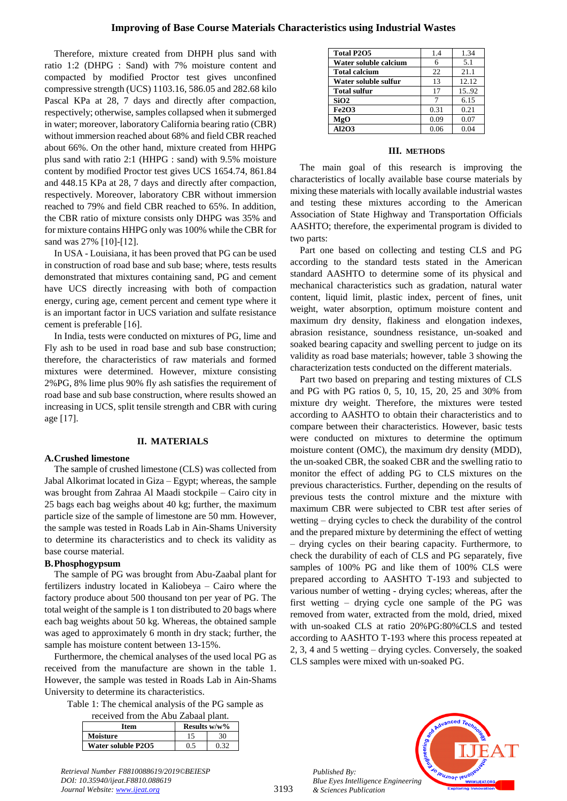Therefore, mixture created from DHPH plus sand with ratio 1:2 (DHPG : Sand) with 7% moisture content and compacted by modified Proctor test gives unconfined compressive strength (UCS) 1103.16, 586.05 and 282.68 kilo Pascal KPa at 28, 7 days and directly after compaction, respectively; otherwise, samples collapsed when it submerged in water; moreover, laboratory California bearing ratio (CBR) without immersion reached about 68% and field CBR reached about 66%. On the other hand, mixture created from HHPG plus sand with ratio 2:1 (HHPG : sand) with 9.5% moisture content by modified Proctor test gives UCS 1654.74, 861.84 and 448.15 KPa at 28, 7 days and directly after compaction, respectively. Moreover, laboratory CBR without immersion reached to 79% and field CBR reached to 65%. In addition, the CBR ratio of mixture consists only DHPG was 35% and for mixture contains HHPG only was 100% while the CBR for sand was 27% [10]-[12].

In USA - Louisiana, it has been proved that PG can be used in construction of road base and sub base; where, tests results demonstrated that mixtures containing sand, PG and cement have UCS directly increasing with both of compaction energy, curing age, cement percent and cement type where it is an important factor in UCS variation and sulfate resistance cement is preferable [16].

In India, tests were conducted on mixtures of PG, lime and Fly ash to be used in road base and sub base construction; therefore, the characteristics of raw materials and formed mixtures were determined. However, mixture consisting 2%PG, 8% lime plus 90% fly ash satisfies the requirement of road base and sub base construction, where results showed an increasing in UCS, split tensile strength and CBR with curing age [17].

## **II. MATERIALS**

#### **A.Crushed limestone**

The sample of crushed limestone (CLS) was collected from Jabal Alkorimat located in Giza – Egypt; whereas, the sample was brought from Zahraa Al Maadi stockpile – Cairo city in 25 bags each bag weighs about 40 kg; further, the maximum particle size of the sample of limestone are 50 mm. However, the sample was tested in Roads Lab in Ain-Shams University to determine its characteristics and to check its validity as base course material.

#### **B.Phosphogypsum**

The sample of PG was brought from Abu-Zaabal plant for fertilizers industry located in Kaliobeya – Cairo where the factory produce about 500 thousand ton per year of PG. The total weight of the sample is 1 ton distributed to 20 bags where each bag weights about 50 kg. Whereas, the obtained sample was aged to approximately 6 month in dry stack; further, the sample has moisture content between 13-15%.

Furthermore, the chemical analyses of the used local PG as received from the manufacture are shown in the table 1. However, the sample was tested in Roads Lab in Ain-Shams University to determine its characteristics.

Table 1: The chemical analysis of the PG sample as

| received from the Abu Zabaal plant. |                 |      |  |  |  |  |
|-------------------------------------|-----------------|------|--|--|--|--|
| Item                                | Results $w/w$ % |      |  |  |  |  |
| <b>Moisture</b>                     | 15              | 30   |  |  |  |  |
| Water soluble P2O5                  | 0.5             | 0.32 |  |  |  |  |

| <b>Total P2O5</b>     | 1.4  | 1.34  |
|-----------------------|------|-------|
| Water soluble calcium |      | 5.1   |
| <b>Total calcium</b>  | 22   | 21.1  |
| Water soluble sulfur  | 13   | 12.12 |
| <b>Total sulfur</b>   | 17   | 15.92 |
| SiO2                  |      | 6.15  |
| <b>Fe2O3</b>          | 0.31 | 0.21  |
| MgO                   | 0.09 | 0.07  |
| AI2O3                 | 0.06 | 0.04  |

#### **III. METHODS**

The main goal of this research is improving the characteristics of locally available base course materials by mixing these materials with locally available industrial wastes and testing these mixtures according to the American Association of State Highway and Transportation Officials AASHTO; therefore, the experimental program is divided to two parts:

Part one based on collecting and testing CLS and PG according to the standard tests stated in the American standard AASHTO to determine some of its physical and mechanical characteristics such as gradation, natural water content, liquid limit, plastic index, percent of fines, unit weight, water absorption, optimum moisture content and maximum dry density, flakiness and elongation indexes, abrasion resistance, soundness resistance, un-soaked and soaked bearing capacity and swelling percent to judge on its validity as road base materials; however, table 3 showing the characterization tests conducted on the different materials.

Part two based on preparing and testing mixtures of CLS and PG with PG ratios 0, 5, 10, 15, 20, 25 and 30% from mixture dry weight. Therefore, the mixtures were tested according to AASHTO to obtain their characteristics and to compare between their characteristics. However, basic tests were conducted on mixtures to determine the optimum moisture content (OMC), the maximum dry density (MDD), the un-soaked CBR, the soaked CBR and the swelling ratio to monitor the effect of adding PG to CLS mixtures on the previous characteristics. Further, depending on the results of previous tests the control mixture and the mixture with maximum CBR were subjected to CBR test after series of wetting – drying cycles to check the durability of the control and the prepared mixture by determining the effect of wetting – drying cycles on their bearing capacity. Furthermore, to check the durability of each of CLS and PG separately, five samples of 100% PG and like them of 100% CLS were prepared according to AASHTO T-193 and subjected to various number of wetting - drying cycles; whereas, after the first wetting – drying cycle one sample of the PG was removed from water, extracted from the mold, dried, mixed with un-soaked CLS at ratio 20%PG:80%CLS and tested according to AASHTO T-193 where this process repeated at 2, 3, 4 and 5 wetting – drying cycles. Conversely, the soaked CLS samples were mixed with un-soaked PG.



*Published By: Blue Eyes Intelligence Engineering & Sciences Publication* 

*Retrieval Number F8810088619/2019©BEIESP DOI: 10.35940/ijeat.F8810.088619 Journal Website: www.ijeat.org*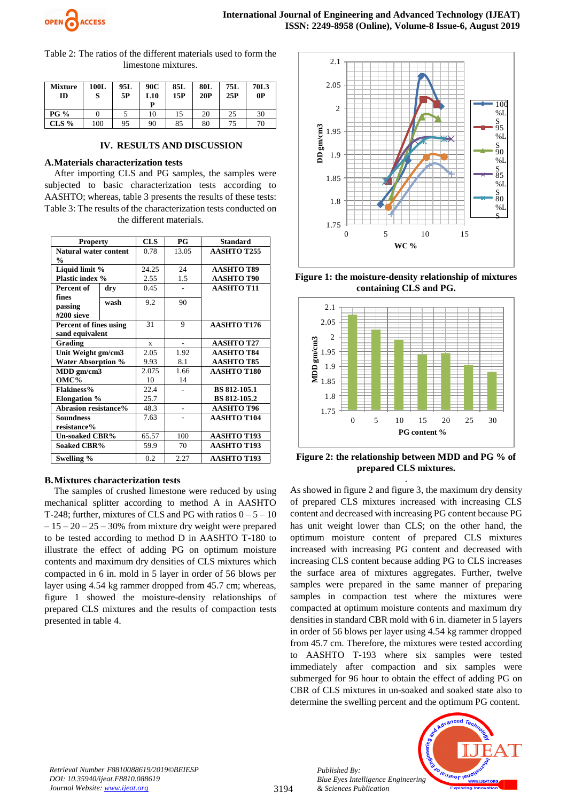

Table 2: The ratios of the different materials used to form the limestone mixtures.

| <b>Mixture</b><br>ID | 100L | 95L<br>5P | 90C<br>L10<br>D | 85L<br>15P | <b>80L</b><br>20P | 75L<br>25P | 70L3<br>0P |
|----------------------|------|-----------|-----------------|------------|-------------------|------------|------------|
| <b>PG %</b>          |      |           | 10              | 15         | 20                | 25         | 30         |
| $CLS\%$              | 100  | 95        | 90              | 85         | 80                | 75         | 70         |

## **IV. RESULTS AND DISCUSSION**

## **A.Materials characterization tests**

After importing CLS and PG samples, the samples were subjected to basic characterization tests according to AASHTO; whereas, table 3 presents the results of these tests: Table 3: The results of the characterization tests conducted on the different materials.

| <b>Property</b>             |      | <b>CLS</b>  | PG                       | <b>Standard</b>     |
|-----------------------------|------|-------------|--------------------------|---------------------|
| Natural water content       |      | 0.78        | 13.05                    | <b>AASHTO T255</b>  |
| $\frac{0}{0}$               |      |             |                          |                     |
| Liquid limit %              |      | 24.25       | 24                       | <b>AASHTO T89</b>   |
| Plastic index %             |      | 2.55        | 1.5                      | <b>AASHTO T90</b>   |
| Percent of                  | dry  | 0.45        |                          | <b>AASHTO T11</b>   |
| fines                       |      |             |                          |                     |
| passing                     | wash | 9.2         | 90                       |                     |
| #200 sieve                  |      |             |                          |                     |
| Percent of fines using      |      | 31          | 9                        | <b>AASHTO T176</b>  |
| sand equivalent             |      |             |                          |                     |
| Grading                     |      | $\mathbf x$ | $\overline{\phantom{a}}$ | <b>AASHTO T27</b>   |
| Unit Weight gm/cm3          |      | 2.05        | 1.92                     | <b>AASHTO T84</b>   |
| <b>Water Absorption %</b>   |      | 9.93        | 8.1                      | <b>AASHTO T85</b>   |
| MDD gm/cm3                  |      | 2.075       | 1.66                     | <b>AASHTO T180</b>  |
| OMC%                        |      | 10          | 14                       |                     |
| <b>Flakiness%</b>           |      | 22.4        |                          | <b>BS 812-105.1</b> |
| <b>Elongation</b> %         |      | 25.7        |                          | <b>BS 812-105.2</b> |
| <b>Abrasion resistance%</b> |      | 48.3        |                          | <b>AASHTO T96</b>   |
| <b>Soundness</b>            |      | 7.63        |                          | <b>AASHTO T104</b>  |
| resistance%                 |      |             |                          |                     |
| <b>Un-soaked CBR%</b>       |      | 65.57       | 100                      | <b>AASHTO T193</b>  |
| <b>Soaked CBR%</b>          |      | 59.9        | 70                       | <b>AASHTO T193</b>  |
| Swelling %                  |      | 0.2         | 2.27                     | <b>AASHTO T193</b>  |

## **B.Mixtures characterization tests**

The samples of crushed limestone were reduced by using mechanical splitter according to method A in AASHTO T-248; further, mixtures of CLS and PG with ratios  $0 - 5 - 10$  $-15 - 20 - 25 - 30\%$  from mixture dry weight were prepared to be tested according to method D in AASHTO T-180 to illustrate the effect of adding PG on optimum moisture contents and maximum dry densities of CLS mixtures which compacted in 6 in. mold in 5 layer in order of 56 blows per layer using 4.54 kg rammer dropped from 45.7 cm; whereas, figure 1 showed the moisture-density relationships of prepared CLS mixtures and the results of compaction tests presented in table 4.



**Figure 1: the moisture-density relationship of mixtures containing CLS and PG.**



**Figure 2: the relationship between MDD and PG % of prepared CLS mixtures.**

. As showed in figure 2 and figure 3, the maximum dry density of prepared CLS mixtures increased with increasing CLS content and decreased with increasing PG content because PG has unit weight lower than CLS; on the other hand, the optimum moisture content of prepared CLS mixtures increased with increasing PG content and decreased with increasing CLS content because adding PG to CLS increases the surface area of mixtures aggregates. Further, twelve samples were prepared in the same manner of preparing samples in compaction test where the mixtures were compacted at optimum moisture contents and maximum dry densities in standard CBR mold with 6 in. diameter in 5 layers in order of 56 blows per layer using 4.54 kg rammer dropped from 45.7 cm. Therefore, the mixtures were tested according to AASHTO T-193 where six samples were tested immediately after compaction and six samples were submerged for 96 hour to obtain the effect of adding PG on CBR of CLS mixtures in un-soaked and soaked state also to determine the swelling percent and the optimum PG content.

*Retrieval Number F8810088619/2019©BEIESP DOI: 10.35940/ijeat.F8810.088619 Journal Website: www.ijeat.org*

*Published By: Blue Eyes Intelligence Engineering & Sciences Publication* 

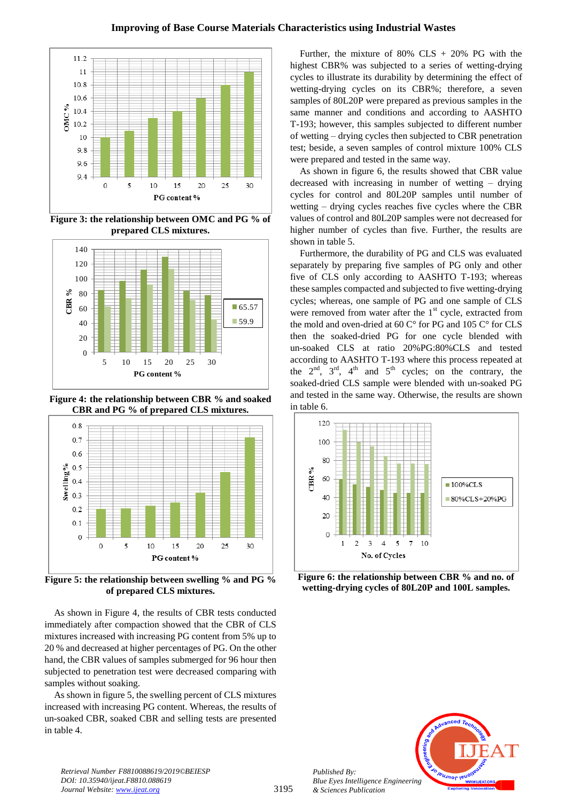

**Figure 3: the relationship between OMC and PG % of prepared CLS mixtures.**



**Figure 4: the relationship between CBR % and soaked CBR and PG % of prepared CLS mixtures.**



**Figure 5: the relationship between swelling % and PG % of prepared CLS mixtures.**

As shown in Figure 4, the results of CBR tests conducted immediately after compaction showed that the CBR of CLS mixtures increased with increasing PG content from 5% up to 20 % and decreased at higher percentages of PG. On the other hand, the CBR values of samples submerged for 96 hour then subjected to penetration test were decreased comparing with samples without soaking.

As shown in figure 5, the swelling percent of CLS mixtures increased with increasing PG content. Whereas, the results of un-soaked CBR, soaked CBR and selling tests are presented in table 4.

Further, the mixture of  $80\%$  CLS +  $20\%$  PG with the highest CBR% was subjected to a series of wetting-drying cycles to illustrate its durability by determining the effect of wetting-drying cycles on its CBR%; therefore, a seven samples of 80L20P were prepared as previous samples in the same manner and conditions and according to AASHTO T-193; however, this samples subjected to different number of wetting – drying cycles then subjected to CBR penetration test; beside, a seven samples of control mixture 100% CLS were prepared and tested in the same way.

As shown in figure 6, the results showed that CBR value decreased with increasing in number of wetting – drying cycles for control and 80L20P samples until number of wetting – drying cycles reaches five cycles where the CBR values of control and 80L20P samples were not decreased for higher number of cycles than five. Further, the results are shown in table 5.

Furthermore, the durability of PG and CLS was evaluated separately by preparing five samples of PG only and other five of CLS only according to AASHTO T-193; whereas these samples compacted and subjected to five wetting-drying cycles; whereas, one sample of PG and one sample of CLS were removed from water after the  $1<sup>st</sup>$  cycle, extracted from the mold and oven-dried at 60 C° for PG and 105 C° for CLS then the soaked-dried PG for one cycle blended with un-soaked CLS at ratio 20%PG:80%CLS and tested according to AASHTO T-193 where this process repeated at the  $2<sup>nd</sup>$ ,  $3<sup>rd</sup>$ ,  $4<sup>th</sup>$  and  $5<sup>th</sup>$  cycles; on the contrary, the soaked-dried CLS sample were blended with un-soaked PG and tested in the same way. Otherwise, the results are shown in table 6.



**Figure 6: the relationship between CBR % and no. of wetting-drying cycles of 80L20P and 100L samples.**



*Retrieval Number F8810088619/2019©BEIESP DOI: 10.35940/ijeat.F8810.088619 Journal Website: www.ijeat.org*

*Published By:*

*& Sciences Publication*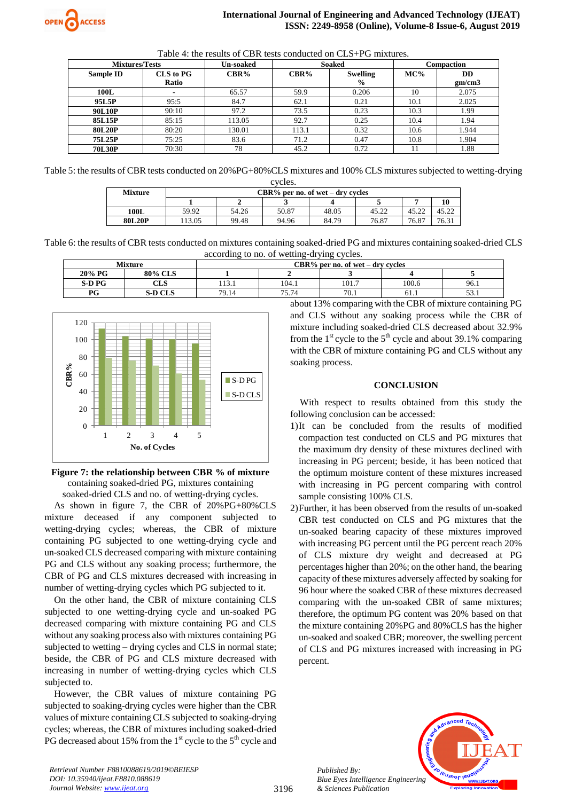| Table 4: the results of CBR tests conducted on CLS+PG mixtures. |  |
|-----------------------------------------------------------------|--|
|-----------------------------------------------------------------|--|

| <b>Mixtures/Tests</b> |                  | Un-soaked | <b>Soaked</b>           |               | Compaction |        |
|-----------------------|------------------|-----------|-------------------------|---------------|------------|--------|
| Sample ID             | <b>CLS</b> to PG | CBR%      | CBR%<br><b>Swelling</b> |               | $MC\%$     | DD     |
|                       | Ratio            |           |                         | $\frac{6}{9}$ |            | gm/cm3 |
| 100L                  | ٠                | 65.57     | 59.9                    | 0.206         | 10         | 2.075  |
| 95L5P                 | 95:5             | 84.7      | 62.1                    | 0.21          | 10.1       | 2.025  |
| <b>90L10P</b>         | 90:10            | 97.2      | 73.5                    | 0.23          | 10.3       | 1.99   |
| 85L15P                | 85:15            | 113.05    | 92.7                    | 0.25          | 10.4       | 1.94   |
| <b>80L20P</b>         | 80:20            | 130.01    | 113.1                   | 0.32          | 10.6       | 1.944  |
| 75L25P                | 75:25            | 83.6      | 71.2                    | 0.47          | 10.8       | 1.904  |
| <b>70L30P</b>         | 70:30            | 78        | 45.2                    | 0.72          |            | 1.88   |

Table 5: the results of CBR tests conducted on 20%PG+80%CLS mixtures and 100% CLS mixtures subjected to wetting-drying cycles.

| - - - - - - - |                                     |       |       |       |       |       |       |  |  |
|---------------|-------------------------------------|-------|-------|-------|-------|-------|-------|--|--|
| Mixture       | $CBR\%$ per no. of wet – dry cycles |       |       |       |       |       |       |  |  |
|               | 10                                  |       |       |       |       |       |       |  |  |
| 100L          | 59.92                               | 54.26 | 50.87 | 48.05 | 45.22 | 45.22 | 45.22 |  |  |
| 80L20P        | 13.05                               | 99.48 | 94.96 | 84.79 | 76.87 | 76.87 | 76.31 |  |  |

Table 6: the results of CBR tests conducted on mixtures containing soaked-dried PG and mixtures containing soaked-dried CLS according to no. of wetting-drying cycles.

| Mixture               |                                  | $CBR\%$ per no. of wet – dry cycles |       |       |       |      |  |
|-----------------------|----------------------------------|-------------------------------------|-------|-------|-------|------|--|
| 20% PG                | 80% CLS                          |                                     |       |       |       |      |  |
| <b>S-D PG</b>         | $\mathbb{C}\mathbf{L}\mathbf{S}$ | 113.1                               | 104.1 | 101.7 | 100.6 | 96.1 |  |
| $\mathbf{D}^{\alpha}$ | <b>S-D CLS</b>                   | 79.14                               | 75.74 | 70.1  | 61.1  | JJ.I |  |



**Figure 7: the relationship between CBR % of mixture** containing soaked-dried PG, mixtures containing soaked-dried CLS and no. of wetting-drying cycles.

As shown in figure 7, the CBR of 20%PG+80%CLS mixture deceased if any component subjected to wetting-drying cycles; whereas, the CBR of mixture containing PG subjected to one wetting-drying cycle and un-soaked CLS decreased comparing with mixture containing PG and CLS without any soaking process; furthermore, the CBR of PG and CLS mixtures decreased with increasing in number of wetting-drying cycles which PG subjected to it.

On the other hand, the CBR of mixture containing CLS subjected to one wetting-drying cycle and un-soaked PG decreased comparing with mixture containing PG and CLS without any soaking process also with mixtures containing PG subjected to wetting – drying cycles and CLS in normal state; beside, the CBR of PG and CLS mixture decreased with increasing in number of wetting-drying cycles which CLS subjected to.

However, the CBR values of mixture containing PG subjected to soaking-drying cycles were higher than the CBR values of mixture containing CLS subjected to soaking-drying cycles; whereas, the CBR of mixtures including soaked-dried PG decreased about 15% from the  $1<sup>st</sup>$  cycle to the  $5<sup>th</sup>$  cycle and about 13% comparing with the CBR of mixture containing PG and CLS without any soaking process while the CBR of mixture including soaked-dried CLS decreased about 32.9% from the  $1<sup>st</sup>$  cycle to the  $5<sup>th</sup>$  cycle and about 39.1% comparing with the CBR of mixture containing PG and CLS without any soaking process.

## **CONCLUSION**

With respect to results obtained from this study the following conclusion can be accessed:

- 1)It can be concluded from the results of modified compaction test conducted on CLS and PG mixtures that the maximum dry density of these mixtures declined with increasing in PG percent; beside, it has been noticed that the optimum moisture content of these mixtures increased with increasing in PG percent comparing with control sample consisting 100% CLS.
- 2)Further, it has been observed from the results of un-soaked CBR test conducted on CLS and PG mixtures that the un-soaked bearing capacity of these mixtures improved with increasing PG percent until the PG percent reach 20% of CLS mixture dry weight and decreased at PG percentages higher than 20%; on the other hand, the bearing capacity of these mixtures adversely affected by soaking for 96 hour where the soaked CBR of these mixtures decreased comparing with the un-soaked CBR of same mixtures; therefore, the optimum PG content was 20% based on that the mixture containing 20%PG and 80%CLS has the higher un-soaked and soaked CBR; moreover, the swelling percent of CLS and PG mixtures increased with increasing in PG percent.



*Retrieval Number F8810088619/2019©BEIESP DOI: 10.35940/ijeat.F8810.088619 Journal Website: www.ijeat.org*

*Published By:*

*& Sciences Publication*